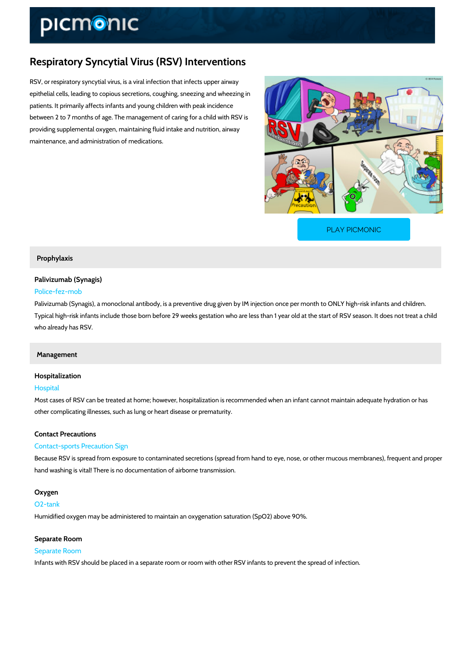# Respiratory Syncytial Virus (RSV) Interventions

RSV, or respiratory syncytial virus, is a viral infection that infects upper airway epithelial cells, leading to copious secretions, coughing, sneezing and wheezing in patients. It primarily affects infants and young children with peak incidence between 2 to 7 months of age. The management of caring for a child with RSV is providing supplemental oxygen, maintaining fluid intake and nutrition, airway maintenance, and administration of medications.

[PLAY PICMONIC](https://www.picmonic.com/learn/respiratory-syncytial-virus-rsv-interventions_1736?utm_source=downloadable_content&utm_medium=distributedcontent&utm_campaign=pathways_pdf&utm_content=Respiratory Syncytial Virus (RSV) Interventions&utm_ad_group=leads&utm_market=all)

#### Prophylaxis

Palivizumab (Synagis) Police-fez-mob

Palivizumab (Synagis), a monoclonal antibody, is a preventive drug given by IM injection once Typical high-risk infants include those born before 29 weeks gestation who are less than 1 ye who already has RSV.

#### Management

# Hospitalization

#### Hospital

Most cases of RSV can be treated at home; however, hospitalization is recommended when an other complicating illnesses, such as lung or heart disease or prematurity.

#### Contact Precautions

#### Contact-sports Precaution Sign

Because RSV is spread from exposure to contaminated secretions (spread from hand to eye, n hand washing is vital! There is no documentation of airborne transmission.

#### Oxygen

#### O2-tank

Humidified oxygen may be administered to maintain an oxygenation saturation (SpO2) above 9

# Separate Room

Separate Room Infants with RSV should be placed in a separate room or room with other RSV infants to preve